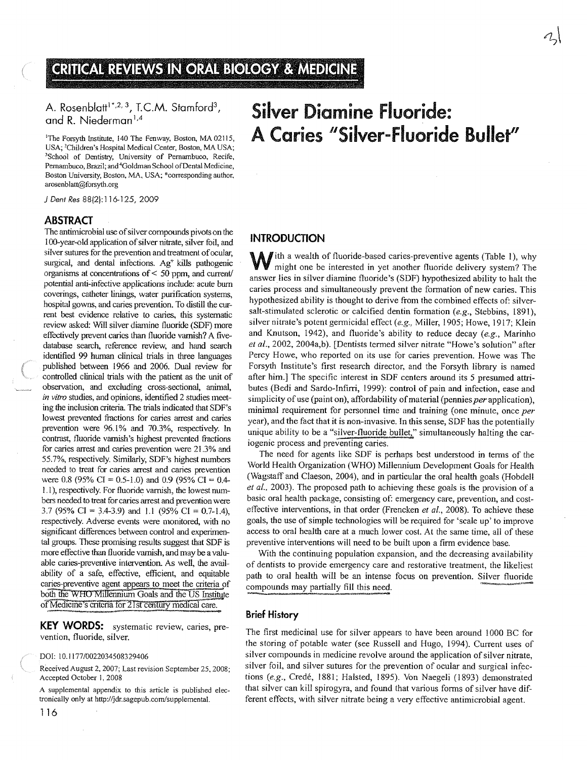# CRITICAL REVIEWS IN ORAL BIOLOGY & MEDICINE

# and R. Niederman<sup>1,4</sup>

**GRITIGAL REVIEWS IN OPAL**<br>A. Rosenblatt<sup>1\*,2,3</sup>, T.C.M. Stamford<sup>3</sup>,<br>and R. Niederman<sup>1,4</sup><br><sup>1</sup>The Forsyth Institute, 140 The Fenway, Boston, MA 02<br>USA; <sup>3</sup>Children's Hospital Medical Center, Boston, MA 0<br>School of Dentist 'The Forsyth Institute, 140 The Fenway, Boston, MA 02115, A. Rosenblatt<sup>1\*,2, 3</sup>, T.C.M. Stamford<sup>3</sup>,<br>and R. Niederman<sup>1,4</sup><br><sup>1</sup>The Forsyth Institute, 140 The Fenway, Boston, MA 02115,<br>USA; <sup>2</sup>Children's Hospital Medical Center, Boston, MA USA;<br><sup>3</sup>School of Dentistry, University 3883811 The Forsyth Institute, 140 The Fenway, Boston, MA 02115,<br>USA; <sup>2</sup>Children's Hospital Medical Center, Boston, MA USA;<br><sup>3</sup>School of Dentistry, University of Pernambuco, Recife,<br>Pernambuco, Brazil; and <sup>4</sup>Goldman Scho A. Rosenblatt<sup>1\*,2,3</sup>, T.C.M. Stamford<sup>3</sup>,<br>and R. Niederman<sup>1,4</sup><br><sup>1</sup>The Forsyth Institute, 140 The Fenway, Boston, MA 02115,<br>USA; <sup>2</sup>Children's Hospital Medical Center, Boston, MA USA;<br><sup>3</sup>School of Dentistry, University of Boston University. Boston, MA, USA; \*corresponding author, arosenblatt@forayth.org

J Dent Res 88(2):116-125, 2009

#### ABSTRACT

The antimicrobial use of silver compounds pivots on the 100-year-old application of silver nitrate, silver foil, and silver sutures for the prevention and treatment of ocular, surgical, and dental infections.  $Ag<sup>+</sup>$  kills pathogenic organisms at concentrations of  $\leq$  50 ppm, and current/ potential anti-infective applications include: acute bum coverings, catheter linings, water purification systems, hospital gowns, and caries prevention. To distill the cur rent best evidence relative to caries, this systematic review asked: Will silver diarnine fluoride (SDF) more effectively prevent caries than fluoride varnish? A fivedatabase search, reference review, and hand search identified 99 human clinical trials in three languages published between 1966 and 2006. Dual review for controlled clinical trials with the patient as the unit of observation, and excluding cross-sectional, animal, in vitro studies, and opinions, identified 2 studies meet ing the inclusion criteria. The trials indicated that SDF's lowest prevented fractions for caries arrest and caries prevention were 96.1% and 70.3%, respectively. In contrast, fluoride varnish's highest prevented fractions for caries arrest and caries prevention were 21.3% and 55.7%, respectively. Similarly, SDF's highest numbers needed to treat for caries arrest and caries prevention were 0.8 (95% CI = 0.5-1.0) and 0.9 (95% CI = 0.4-1.1), respectively. For fluoride varnish, the lowest num bers needed to treat for caries arrest and prevention were 3.7 (95% CI = 3.4-3.9) and 1.1 (95% CI = 0.7-1.4), respectively. Adverse events were monitored, with no significant differences between control and experimen tal groups. These promising results suggest that SDF is more effective than fluoride varnish, and may be a valu able caries-preventive intervention. As well, the avail ability of a safe, effective, efficient, and equitable caries-preventive agent appears to meet the criteria of both the WHO Millennium Goals and the US Institute of Medicine's criteria for 21st century medical care.

KEY WORDS: systematic review, caries, prevention, fluoride, silver.

#### DOt: 10.1177/0022034508329406

Received August 2, 2007; Last revision September 25. 2008; Accepted October I. 2008

A supplemental appendix to this article is published elec tronically only at http://jdr.sagepub.com/supplemental.

# INTRODUCTION

With a wealth of fluoride-based caries-preventive agents (Table 1), why might one he interested is all  $\tilde{a}$ might one be interested in yet another fluoride delivery system? The answer lies in silver diamine fluoride's (SDF) hypothesized ability to halt the caries process and simultaneously prevent the formation of new caries. This hypothesized ability is thought to derive from the combined effects of: silversalt-stimulated sclerotic or calcified dentin formation (e.g., Stebbins, 1891), silver nitrate's potent germicidal effect (e.g., Miller, 1905; Howe, 1917; Klein and Knutson, 1942), and fluoride's ability to reduce decay (e.g., Marinho et al., 2002, 2004a,b). [Dentists termed silver nitrate "Howe's solution" after Percy Howe, who reported on its use for caries prevention. Howe was The Forsyth Institute's first research director, and the Forsyth library is named after him.] The specific interest in SDF centers around its <sup>5</sup> presumed attri butes (Bedi and Sardo-Infirri, 1999): control of pain and infection, ease and simplicity of use (paint on), affordability of material (pennies per application), minimal requirement for personnel time and training (one minute, once per year), and the fact that it is non-invasive. In this sense, SDF has the potentially unique ability to be a "silver-fluoride bullet," simultaneously halting the cariogenic process and preventing caries.

The need for agents like SDF is perhaps best understood in terms of the World Health Organization (WHO) Millennium Development Goals for Health (Wagstaff and Claeson, 2004), and in particular the oral health goals (Hobdell et al., 2003). The proposed path to achieving these goals is the provision of a basic oral health package, consisting of: emergency care, prevention, and costeffective interventions, in that order (Frencken *et al.*, 2008). To achieve these goals, the use of simple technologies will be required for 'scale up' to improve access to oral health care at a much lower cost. At the same time, all of these preventive interventions will need to be built upon a firm evidence base.

With the continuing population expansion, and the decreasing availability of dentists to provide emergency care and restorative treatment, the likeliest path to oral health will be an intense focus on prevention. Silver fluoride compounds may partially fill this need.

# Brief History

The first medicinal use for silver appears to have been around 1000 BC for the storing of potable water (see Russell and Hugo, 1994). Current uses of silver compounds in medicine revolve around the application of silver nitrate, silver foil, and silver sutures for the prevention of ocular and surgical infec tions (e.g., Credé, 1881; Halsted, 1895). Von Naegeli (1893) demonstrated that silver can kill spirogyra, and found that various forms of silver have dif ferent effects, with silver nitrate being a very effective antimicrobial agent.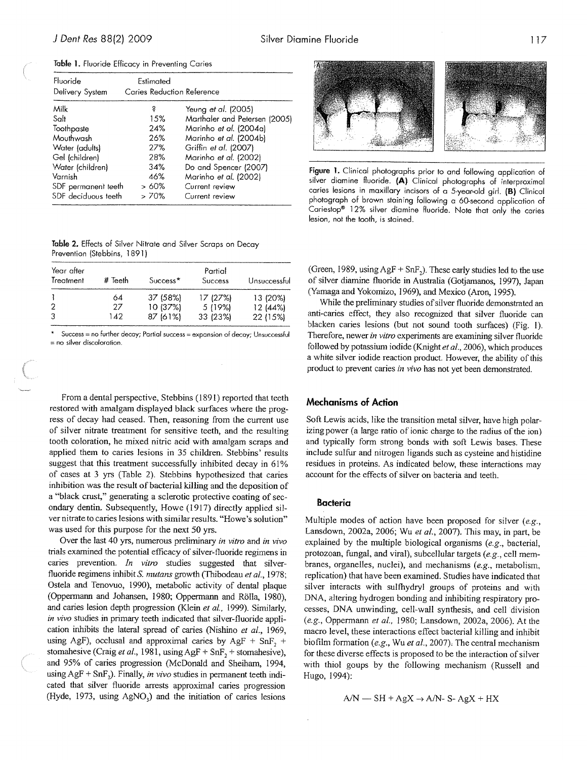| Fluoride<br>Delivery System | Estimated<br>Caries Reduction Reference |                               |
|-----------------------------|-----------------------------------------|-------------------------------|
|                             |                                         |                               |
| Milk                        | S                                       | Yeung et al. (2005)           |
| Salt                        | 15%                                     | Marthaler and Petersen (2005) |
| Toothpaste                  | 24%                                     | Marinho et al. (2004a)        |
| Mouthwash                   | 26%                                     | Marinho et al. (2004b)        |
| Water (adults)              | 27%                                     | Griffin et al. (2007)         |
| Gel (children)              | 28%                                     | Marinho et al. (2002)         |
| Water (children)            | 34%                                     | Do and Spencer (2007)         |
| Varnish                     | 46%                                     | Marinho et al. (2002)         |
| SDF permanent teeth         | > 60%                                   | Current review                |
| SDF deciduous teeth         | > 70%                                   | Current review                |
|                             |                                         |                               |

Table 1. Fluoride Efficacy in Preventing Caries

Table 2. Effects of Silver Nitrate and Silver Scraps on Decay Prevention (Stebbins, 1891)

| Year after<br>Treatment | # Teeth | Success <sup>*</sup> | Partial<br>Success | Unsuccessful |
|-------------------------|---------|----------------------|--------------------|--------------|
|                         | 64      | 37 (58%)             | 17 (27%)           | 13 (20%)     |
|                         | 27      | 10 (37%)             | 5 (19%)            | 12 (44%)     |
|                         | 142     | 87 (61%)             | 33 (23%)           | 22 (15%)     |

 $Success = no$  further decay; Partial success = expansion of decay; Unsuccessful = no silver discoloration.

From <sup>a</sup> dental perspective, Stebbins (1891) reported that teeth restored with amalgam displayed black surfaces where the prog ress of decay had ceased. Then, reasoning from the current use of silver nitrate treatment for sensitive teeth, and the resulting tooth coloration, he mixed nitric acid with amalgam scraps and applied them to caries lesions in 35 children. Stebbins' results suggest that this treatment successfully inhibited decay in 61% of cases at 3 yrs (Table 2). Stebbins hypothesized that caries inhibition was the result of bacterial killing and the deposition of <sup>a</sup> "black crust," generating <sup>a</sup> sclerotic protective coating of sec ondary dentin. Subsequently, Howe (1917) directly applied sil ver nitrate to caries lesions with similar results. "Howe's solution" was used for this purpose for the next 50 yrs.

Over the last 40 yrs, numerous preliminary in vitro and in vivo trials examined the potential efficacy of silver-fluoride regimens in caries prevention. In vitro studies suggested that silverfluoride regimens inhibit S. mutans growth (Thibodeau et al., 1978; Ostela and Tenovuo, 1990), metabolic activity of dental <sup>p</sup>laque (Oppermarin and Johansen, 1980; Oppennann and Rölla, 1980), and caries lesion depth progression (Klein et al., 1999). Similarly, in vivo studies in primary teeth indicated that silver-fluoride application inhibits the lateral spread of caries (Nishino et al., 1969, using AgF), occlusal and approximal caries by AgF + SnF, + stomahesive (Craig et al., 1981, using AgF + SnF, + stomahesive), and 95% of caries progression (McDonald and Shetham, 1994, using AgF + SnF<sub>2</sub>). Finally, *in vivo* studies in permanent teeth indicated that silver fluoride arrests approximal caries progression (Hyde, 1973, using  $AgNO<sub>3</sub>$ ) and the initiation of caries lesions



Figure 1. Clinical photographs prior to and following application of silver diamine fluoride. (A) Clinical photographs of interproximal caries lesions in maxillary incisors of <sup>a</sup> 5-year-old <sup>g</sup>irl. (B) Clinical <sup>p</sup>hotograph of brown staining following <sup>a</sup> 60-second application of Cariestop<sup>®</sup> 12% silver diamine fluoride. Note that only the caries lesion, not the tooth, is stained.

(Green, 1989, using  $\text{AgF} + \text{SnF}_2$ ). These early studies led to the use of silver diamine fluoride in Australia (Gotjamanos, 1997), Japan (Yamaga and Yokomizo, 1969), and Mexico (Aron, 1995).

While the preliminary studies of silver fluoride demonstrated an anti-caries effect, they also recognized that silver fluoride can blacken caries lesions (but not sound tooth surfaces) (Fig. 1). Therefore, newer in vitro experiments are examining silver fluoride followed by potassium iodide (Knight et al., 2006), which produces <sup>a</sup> white silver iodide reaction product. However, the ability of this product to prevent caries in vivo has not yet been demonstrated.

#### Mechanisms of Action

Soft Lewis acids, like the transition metal silver, have high polar izing power (a large ratio of ionic charge to the radius of the ion) and typically form strong bonds with soft Lewis bases. These include sulfur and nitrogen ligands such as cysteine and histidine residues in proteins. As indicated below, these interactions may account for the effects of silver on bacteria and teeth.

#### Bacteria

Multiple modes of action have been proposed for silver  $(e.g.,\)$ Lansdown, 2002a, 2006; Wu et al., 2007). This may, in part, be explained by the multiple biological organisms (e.g., bacterial, protozoan, fungal, and viral), subcellular targets (e.g., cell mem branes, organelles, nuclei), and mechanisms (e.g., metabolism, replication) that have been examined. Studies have indicated that silver interacts with sulfhydryl groups of proteins and with DNA, altering hydrogen bonding and inhibiting respiratory pro cesses, DNA unwinding, cell-wall synthesis, and cell division  $(e.g., Oppermann et al., 1980; Lansdown, 2002a, 2006)$ . At the macro level, these interactions effect bacterial killing and inhibit biofilm formation (e.g., Wu et al., 2007). The central mechanism for these diverse effects is proposed to be the interaction of silver with thiol goups by the following mechanism (Russell and Hugo, 1994):

$$
A/N = SH + AgX \rightarrow A/N - S - AgX + HX
$$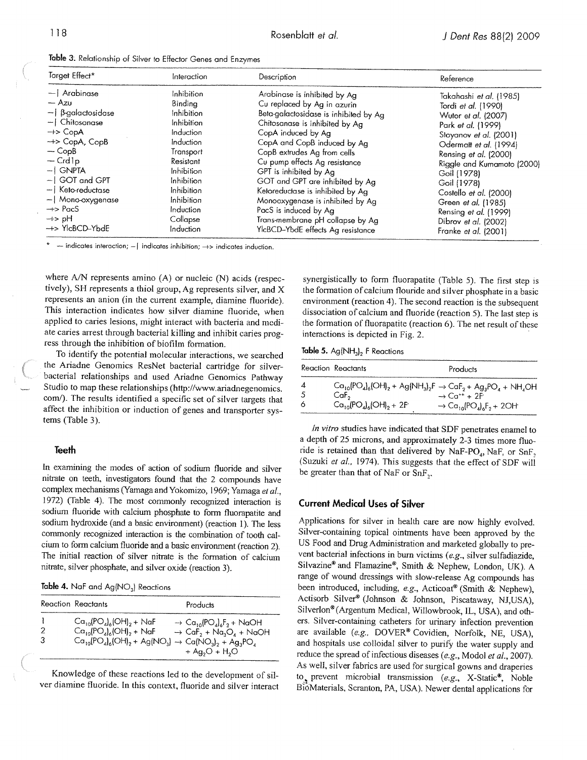|  |  |  | Table 3. Relationship of Silver to Effector Genes and Enzymes |  |  |  |  |  |  |  |  |
|--|--|--|---------------------------------------------------------------|--|--|--|--|--|--|--|--|
|--|--|--|---------------------------------------------------------------|--|--|--|--|--|--|--|--|

| Target Effect*               | Interaction       | Description                           | Reference                      |
|------------------------------|-------------------|---------------------------------------|--------------------------------|
| - Arabinase                  | Inhibition        | Arabinase is inhibited by Ag          | Takahashi <i>et al.</i> (1985) |
| — Azu                        | Bindina           | Cu replaced by Ag in azurin           | Tordi et al. (1990)            |
| $-$   $\beta$ -galactosidase | Inhibition        | Beta-galactosidase is inhibited by Ag | Wutor et al. (2007)            |
| $-$   Chitosanase            | Inhibition        | Chitosanase is inhibited by Ag        | Park et al. (1999)             |
| $\rightarrow$ CopA           | Induction         | CopA induced by Ag                    | Stoyanov et al. (2001)         |
| $\rightarrow$ CopA, CopB     | Induction         | CopA and CopB induced by Ag           | Odermatt et al. (1994)         |
| $-CopB$                      | Transport         | CopB extrudes Ag from cells           | Rensing et al. (2000)          |
| — Crd1p                      | Resistant         | Cu pump effects Ag resistance         | Riggle and Kumamoto (2000)     |
| -I GNPTA                     | Inhibition        | GPT is inhibited by Ag                | Goil (1978)                    |
| -1 GOT and GPT               | Inhibition        | GOT and GPT are inhibited by Aa       | Goil (1978)                    |
| –   Keto-reductase           | <b>Inhibition</b> | Ketoreductase is inhibited by Ag      | Costello et al. (2000)         |
| -   Mono-oxygenase           | Inhibition        | Monooxygenase is inhibited by Ag      | Green et al. (1985)            |
| $\rightarrow$ PacS           | Induction         | PacS is induced by Ag                 | Rensing et al. (1999)          |
| Hq <⊢                        | Collapse          | Trans-membrane pH collapse by Ag      | Dibrov et al. (2002)           |
| +> YlcBCD-YbdE               | Induction         | YlcBCD-YbdE effects Ag resistance     | Franke et al. (2001)           |

 $\mathbf{k}$ indicates interaction;  $-1$  indicates inhibition;  $\rightarrow$  indicates induction.

where A/N represents amino (A) or nucleic (N) acids (respectively), SH represents a thiol group, Ag represents silver, and X represents an anion (in the current example, diamine fluoride). This interaction indicates how silver diamine fluoride, when applied to caries lesions, might interact with bacteria and medi ate caries arrest through bacterial killing and inhibit caries prog ress through the inhibition of biofilm formation.

To identify the potential molecular interactions, we searched the Ariadne Genomics ResNet bacterial cartridge for silverbacterial relationships and used Ariadne Genomics Pathway Studio to map these relationships (http://www.ariadnegenomics. com/). The results identified a specific set of silver targets that affect the inhibition or induction of genes and transporter sys tems (Table 3).

#### Teeth

In examining the modes of action of sodium fluoride and silver nitrate on teeth, investigators found that the <sup>2</sup> compounds have complex mechanisms (Yamaga and Yokomizo, 1969; Yamaga et al., 1972) (Table 4). The most commonly recognized interaction is sodium fluoride with calcium phosphate to form fluorapatite and sodium hydroxide (and <sup>a</sup> basic environment) (reaction I). The less commonly recognized interaction is the combination of tooth cal cium to form calcium fluoride and <sup>a</sup> basic environment (reaction 2). The initial reaction of silver nitrate is the formation of calcium nitrate, silver <sup>p</sup>hosphate, and silver oxide (reaction 3).

Table 4. NaF and  $Ag(NO<sub>3</sub>)$  Reactions

| Reaction Reactants                                                                                                                                                     | Products                                                                                                                                                                                                   |
|------------------------------------------------------------------------------------------------------------------------------------------------------------------------|------------------------------------------------------------------------------------------------------------------------------------------------------------------------------------------------------------|
| $Ca_{10}$ $(PO_{4})$ <sub>6</sub> $(OH)$ <sub>2</sub> + NaF<br>$Ca_{10}(PO_4)_{6}(OH)_2 + NaF$<br>$Ca_{10}(PO_4)_6(OH)_2 + Ag(NO_3) \rightarrow Ca(NO_3)_2 + Ag_3PO_4$ | $\rightarrow$ Ca <sub>10</sub> (PO <sub>4</sub> ) <sub>6</sub> F <sub>2</sub> + NaOH<br>$\rightarrow$ CaF <sub>2</sub> + Na <sub>3</sub> O <sub>4</sub> + NaOH<br>$+$ Ag <sub>2</sub> O + H <sub>2</sub> O |

Knowledge of these reactions led to the development of sil ver diamine fluoride. In this context, fluoride and silver interact

synergistically to form fluorapatite (Table 5). The first step is the formation of calcium fiouride and silver <sup>p</sup>hosphate in <sup>a</sup> basic environment (reaction 4). The second reaction is the subsequent dissociation of calcium and fluoride (reaction 5). The last step is the formation of fluorapatite (reaction 6). The net result of these interactions is depicted in Fig. 2.

Table 5. Ag( $NH<sub>3</sub>$ )<sub>2</sub> F Reactions

|   | Reaction Reactants                                                              | Products                                                                            |
|---|---------------------------------------------------------------------------------|-------------------------------------------------------------------------------------|
| 4 | $Co_{10}(PO_4)_{6}(OH)_2 + Ag(NH_3)_{2}F \rightarrow CoF_2 + Ag_3PO_4 + NH_4OH$ |                                                                                     |
| 5 | $C$ a $F_{2}$                                                                   | $\rightarrow$ Ca <sup>++</sup> + 2F                                                 |
| 6 | $Ca_{10}$ (PO <sub>4</sub> ) <sub>6</sub> (OH) <sub>2</sub> + 2F                | $\rightarrow$ Ca <sub>10</sub> (PO <sub>4</sub> ) <sub>6</sub> F <sub>2</sub> + 2OH |

In vitro studies have indicated that SDF penetrates enamel to <sup>a</sup> depth of <sup>25</sup> microns, and approximately 2-3 times more fluo ride is retained than that delivered by NaF-PO<sub>4</sub>, NaF, or SnF<sub>2</sub> (Suzuki et al., 1974). This suggests that the effect of SDF will be greater than that of NaF or  $SnF_2$ .

#### **Current Medical Uses of Silver**

Applications for silver in health care are now highly evolved. Silver-containing topical ointments have been approved by the US Food and Drug Administration and marketed <sup>g</sup>lobally to pre vent bacterial infections in burn victims (e.g., silver sulfadiazide, Silvazine® and Flamazine®, Smith & Nephew, London, UK). <sup>A</sup> range of wound dressings with slow-release Ag compounds has been introduced, including, e.g., Acticoat® (Smith & Nephew), Actisorb Silver® (Johnson & Johnson, Piscataway, NJ,USA), Silverlon® (Argentum Medical, Willowbrook, IL, USA), and oth ers. Silver-containing catheters for urinary infection prevention are available (e.g., DOVER® Covidien, Norfolk, NE, USA), and hospitals use colloidal silver to purify the water supply and reduce the spread of infectious diseases (e.g., Modol et al., 2007). As well, silver fabrics are used for surgical gowns and draperies to prevent microbial transmission (e.g., X-Static®, Noble BioMaterials, Scranton, PA, USA). Newer dental applications for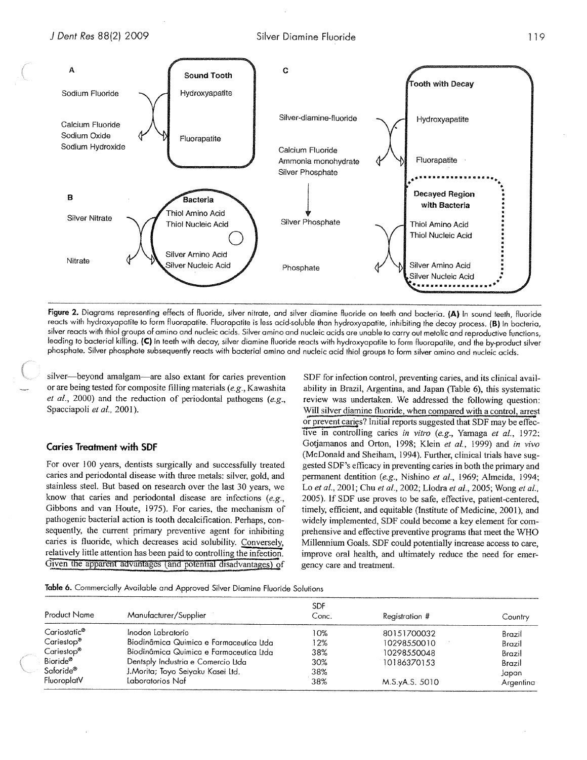



Figure 2. Diagrams representing effects of fluoride, silver nitrate, and silver diamine fluoride on teeth and bacteria. (A) In sound teeth, fluoride reacts with hydroxyapatite to form fluorapatite. Fluorapatite is less acid-soluble than hydroxyapatite, inhibiting the decay process. (B) In bacteria, silver reacts with thiol groups of amino and nucleic acids. Silver amino and nucleic acids are unable to carry out metolic and reproductive functions, leading to bacterial killing. (C) In teeth with decay, silver diamine fluoride reacts with hydroxyapatite to form fluorapatite, and the by-product silver phosphate. Silver phosphate subsequently reacts with bacterial amino and nucleic acid thiol groups to form silver amino and nucleic acids.

silver—beyond amalgam—are also extant for caries prevention or are being tested for composite filling materials (e.g., Kawashita et al., 2000) and the reduction of periodontal pathogens (e.g., Spacciapoli et al., 2001).

#### Caries Treatment with SDF

For over 100 years, dentists surgically and successfully treated caries and periodontal disease with three metals: silver, gold, and stainless steel. But based on research over the last 30 years, we know that caries and periodontal disease are infections (e.g., Gibbons and van Houte, 1975). For caries, the mechanism of pathogenic bacterial action is tooth decalcification. Perhaps, con sequently, the current primary preventive agent for inhibiting caries is fluoride, which decreases acid solubility. Conversely Gibbons and van Houte, 1975). For caries, the mechanism of pathogenic bacterial action is tooth decalcification. Perhaps, consequently, the current primary preventive agent for inhibiting caries is fluoride, which decrease relatively little attention has been paid to controlling the infection.

SDF for infection control, preventing caries, and its clinical avail ability in Brazil, Argentina, and Japan (Table 6), this systematic review was undertaken. We addressed the following question: Will silver diamine fluoride, when compared with a control, arrest or prevent caries? Initial reports suggested that SDF may be effective in controlling caries in vitro (e.g., Yamaga et al., 1972; Gotiamanos and Orton, 1998; Klein et al., 1999) and in vivo (McDonald and Sheiham, 1994). Further, clinical trials have sug gested SDF's efficacy in preventing caries in both the primary and permanent dentition (e.g., Nishino et al., 1969; Almeida, 1994; Lo et al., 2001; Chu et al., 2002; Llodra et al., 2005; Wong et al., 2005). If SDF use proves to be safe, effective, patient-centered, timely, efficient, and equitable (Institute of Medicine, 2001), and widely implemented, SDF could become a key element for com prehensive and effective preventive programs that meet the WHO Millennium Goals. SDF could potentially increase access to care, improve oral health, and ultimately reduce the need for emer gency care and treatment.

Table 6. Commercially Available and Approved Silver Diamine Fluoride Solutions

| <b>Product Name</b>      | Manufacturer/Supplier                   | <b>SDF</b><br>Conc. | Registration # | Country   |
|--------------------------|-----------------------------------------|---------------------|----------------|-----------|
| Cariostatic <sup>®</sup> | Inodon Labratorio                       | 10%                 | 80151700032    | Brazil    |
| Cariestop <sup>®</sup>   | Biodinâmica Quimica e Farmaceutica Itda | 12%                 | 10298550010    | Brazil    |
| Cariestop®               | Biodinâmica Quimica e Farmaceutica Ltda | 38%                 | 10298550048    | Brazil    |
| Bioride®                 | Dentsply Industria e Comercio Ltda      | 30%                 | 10186370153    | Brazil    |
| Saforide <sup>®</sup>    | J.Morita; Toyo Seiyaku Kasei Ltd.       | 38%                 |                | Japan     |
| FluoroplatV              | Laboratorios Naf                        | 38%                 | M.S.yA.S. 5010 | Argentina |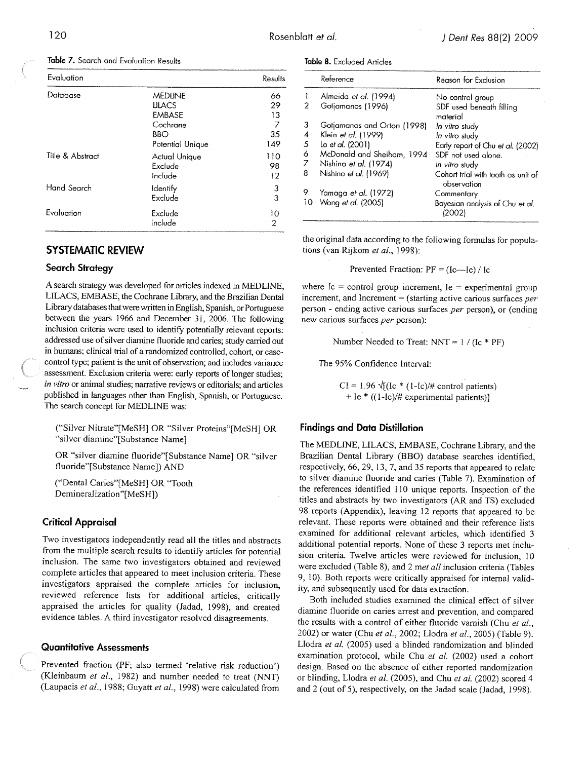| Evaluation       |                                     | Results         |
|------------------|-------------------------------------|-----------------|
| Database         | <b>MEDUNE</b><br><b>LILACS</b>      | 66<br>29        |
|                  | <b>EMBASE</b><br>Cochrane           | 13<br>7         |
|                  | BBO<br>Potential Unique             | 35<br>149       |
| Title & Abstract | Actual Unique<br>Exclude<br>Include | 110<br>98<br>12 |
| Hand Search      | <b>Identify</b><br>Exclude          | 3<br>3          |
| Evaluation       | Exclude<br>Include                  | 10<br>2         |

Table 7. Search and Evaluation Results

# SYSTEMATIC REVIEW

#### Search Strategy

A search strategy was developed for articles indexed in MEDLINE, LILACS, EMI3ASE, the Cochrane Library, and the Brazilian Dental Library databases that were written in English, Spanish, or Portuguese between the years 1966 and December 31, 2006. The following inclusion criteria were used to identify potentially relevant reports: addressed use of silver diamine fluoride and caries; study carried out in humans; clinical trial of a randomized controlled, cohort, or casecontrol type; patient is the unit of observation; and includes variance assessment. Exclusion criteria were: early reports of longer studies; in vitro or animal studies; narrative reviews or editorials; and articles published in languages other than English, Spanish, or Portuguese. The search concept for MEDLINE was:

("Silver Nitrate"[MeSH] OR "Silver Proteins"[MeSH] OR "silver diamine"[Substance Name]

OR "silver diamine fluoride"[Substance Name] OR "silver fluoride"[Substance Name]) AND

("Dental Caries"[MeSH] OR "Tooth Demineralization"[MeSH])

### Critical Appraisal

Two investigators independently read all the titles and abstracts from the multiple search results to identify articles for potential inclusion. The same two investigators obtained and reviewed complete articles that appeared to meet inclusion criteria. These investigators appraised the complete articles for inclusion, reviewed reference lists for additional articles, critically appraised the articles for quality (Jadad, 1998), and created evidence tables. A third investigator resolved disagreements.

# Quantitative Assessments

Prevented fraction (PF; also termed 'relative risk reduction') (Kleinbaum et al., 1982) and number needed to treat (NNT) (Laupacis et al., 1988; Guyatt et al., 1998) were calculated from

|  |  | Table 8. Excluded Articles |  |
|--|--|----------------------------|--|
|--|--|----------------------------|--|

|    | Reference                   | Reason for Exclusion                              |
|----|-----------------------------|---------------------------------------------------|
|    | Almeida et al. (1994)       | No control group                                  |
|    | Gotiamanos (1996)           | SDF used beneath filling<br>material              |
| 3  | Gotjamanos and Orton (1998) | In vitro study                                    |
| 4  | Klein et al. (1999)         | In vitro study                                    |
| 5  | lo et al. (2001)            | Early report of Chu et al. (2002)                 |
| 6  | McDonald and Sheiham, 1994  | SDF not used alone                                |
| 7  | Nishino et al. (1974)       | In vitro study                                    |
| 8  | Nishino et al. (1969)       | Cohort trial with tooth as unit of<br>observation |
| 9  | Yamaga et al. (1972)        | Commentary                                        |
| 10 | Wong et al. (2005)          | Bayesian analysis of Chu et al.<br>120021         |

the original data according to the following formulas for popula tions (van Rijkom et al., 1998):

Prevented Fraction: PF = (lc—le) / Ic

where  $Ic =$  control group increment,  $Ie =$  experimental group increment, and Increment  $=$  (starting active carious surfaces per person - ending active carious surfaces per person), or (ending new carious surfaces per person):

Number Needed to Treat:  $NNT = 1 / (Ic * PF)$ 

The 95% Confidence Interval:

 $CI = 1.96 \sqrt{[(1 - 1)(1 + 1)(1 + 1)}$  control patients) + Ic \* ((l-le)/# experimental patients)]

#### Findings and Data Distillation

The MEDLINE, LILACS, EMBASE, Cochrane Library, and the Brazilian Dental Library (8130) database searches identified, respectively, 66, 29, 13, 7, and 35 reports that appeared to relate to silver diamine fluoride and caries (Table 7). Examination of the references identified 110 unique reports. Inspection of the titles and abstracts by two investigators (AR and TS) excluded 98 reports (Appendix), leaving <sup>12</sup> reports that appeared to be relevant. These reports were obtained and their reference lists examined for additional relevant articles, which identified <sup>3</sup> additional potential reports. None of these <sup>3</sup> reports met inclu sion criteria. Twelve articles were reviewed for inclusion, 10 were excluded (Table 8), and 2 met all inclusion criteria (Tables 9, 10). Both reports were critically appraised for internal valid ity, and subsequently used for data extraction.

Both included studies examined the clinical effect of silver diamine fluoride on caries arrest and prevention, and compared the results with a control of either fluoride varnish (Chu et al., 2002) or water (Chu et al., 2002; Llodra et al., 2005) (Table 9). Llodra et al. (2005) used a blinded randomization and blinded examination protocol, while Chu et al. (2002) used a cohort design. Based on the absence of either reported randomization or blinding, Llodra et al. (2005), and Chu et al. (2002) scored 4 and 2 (out of 5), respectively, on the Jadad scale (Jadad, 1998).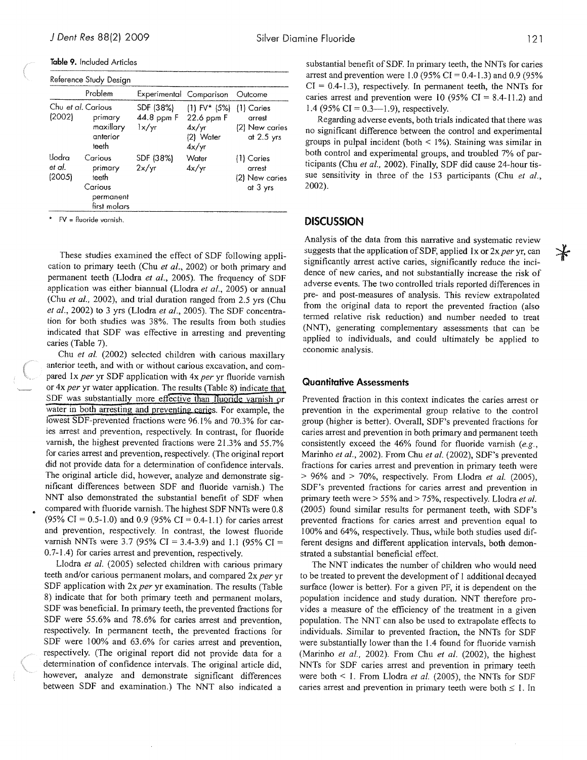Table 9. Included Articles

| Reference Study Design       |                                                                     |                                  |                                                              |                                                          |  |  |  |  |
|------------------------------|---------------------------------------------------------------------|----------------------------------|--------------------------------------------------------------|----------------------------------------------------------|--|--|--|--|
|                              | Problem                                                             | Experimental Comparison          |                                                              | Outcome                                                  |  |  |  |  |
| Chu et al. Carious<br>(2002) | primary<br>maxillary<br>anterior<br>teeth                           | SDF (38%)<br>44.8 ppm F<br>1x/yr | $(1) FV^* (5%)$<br>22.6 ppm F<br>4x/yr<br>(2) Water<br>4x/yr | $(1)$ Caries<br>arrest<br>(2) New caries<br>at $2.5$ yrs |  |  |  |  |
| Llodra<br>et al.<br>(2005)   | Carious<br>primary<br>teeth<br>Carious<br>permanent<br>first molars | SDF (38%)<br>2x/yr               | Water<br>4x/yr                                               | (1) Caries<br>arrest<br>(2) New caries<br>at 3 yrs       |  |  |  |  |

 $FV =$  fluoride varnish.

These studies examined the effect of SDF following appli cation to primary teeth (Chu et al., 2002) or both primary and permanent teeth (Llodra et al., 2005). The frequency of SDF application was either biannual (Llodra et al., 2005) or annual (Chu et al., 2002), and trial duration ranged from 2.5 yrs (Chu et al., 2002) to 3 yrs (Llodra et al., 2005). The SDF concentration For both studies was 38%. The results from both studies indicated that SDF was effective in arresting and preventing caries (Table 7).

Chu et al. (2002) selected children with carious maxillary anterior teeth, and with or without carious excavation, and com pared  $lx$  per yr SDF application with  $4x$  per yr fluoride varnish or 4x per yr water application. The results (Table 8) indicate that SDF was substantially more effective than fluoride varnish or water in both arresting and preventing caries. For example, the lowest SDF-prevented fractions were 96.1% and 70.3% for caries arrest and prevention, respectively. In contrast, for fluoride varnish, the highest prevented fractions were 21.3% and 55.7% for caries arrest and prevention, respectively. (The original report did not provide data for a determination of confidence intervals. The original article did, however, analyze and demonstrate sig nificant differences between SDF and fluoride varnish.) The NNT also demonstrated the substantial benefit of SDF when compared with fluoride varnish. The highest SDF NNTs were 0.8  $(95\% \text{ CI} = 0.5 \text{-} 1.0)$  and 0.9 (95% CI = 0.4-1.1) for caries arrest and prevention, respectively. In contrast, the lowest fluoride varnish NNTs were 3.7 (95% CI = 3.4-3.9) and 1.1 (95% CI = 0.7-1 .4) for caries arrest and prevention, respectively.

Llodra et al. (2005) selected children with carious primary teeth and/or carious permanent molars, and compared  $2x$  per yr SDF application with 2x per yr examination. The results (Table 8) indicate that for both primary teeth and permanent molars, SDF was beneficial. In primary teeth, the prevented fractions for SDF were 55.6% and 78.6% for caries arrest and prevention, respectively. In permanent teeth, the prevented fractions for SDF were 100% and 63.6% for caries arrest and prevention, respectively. (The original report did not provide data for a determination of confidence intervals. The original article did, however, analyze and demonstrate significant differences between SDF and examination.) The NNT also indicated <sup>a</sup>

 $\cal{I}$ 

substantial benefit of SDF. In primary teeth, the NNTs for caries arrest and prevention were 1.0 (95% CI = 0.4-1.3) and 0.9 (95%)  $CI = 0.4 - 1.3$ , respectively. In permanent teeth, the NNTs for caries arrest and prevention were 10 (95% CI = 8.4-11.2) and 1.4 (95% CI =  $0.3$ —1.9), respectively.

Regarding adverse events, both trials indicated that there was no significant difference between the control and experimental groups in pulpal incident (both  $\leq$  1%). Staining was similar in both control and experimental groups, and troubled 7% of par ticipants (Chu et al., 2002). Finally, SDF did cause 24-hour tissue sensitivity in three of the 153 participants (Chu et al., 2002).

# **DISCUSSION**

Analysis of the data from this narrative and systematic review suggests that the application of SDF, applied 1x or  $2x$  per yr, can significantly arrest active caries, significantly reduce the inci dence of new caries, and not substantially increase the risk of adverse events. The two controlled trials reported differences in pre- and post-measures of analysis. This review extrapolated from the original data to report the prevented fraction (also termed relative risk reduction) and number needed to treat (NNT), generating complementary assessments that can be applied to individuals, and could ultimately be applied to economic analysis.

#### Quantitative Assessments

Prevented fraction in this context indicates the caries arrest or prevention in the experimental group relative to the control group (higher is better). Overall, SDF's prevented fractions for caries arrest and prevention in both primary and permanent teeth consistently exceed the 46% found for fluoride varnish (e.g., Marinho et al., 2002). From Chu et al. (2002), SDF's prevented fractions for caries arrest and prevention in primary teeth were  $> 96\%$  and  $> 70\%$ , respectively. From Llodra et al. (2005), SDF's prevented fractions for caries arrest and prevention in primary teeth were > 55% and > 75%, respectively. Llodra *et al.* (2005) found similar results for permanent teeth, with SDF's prevented fractions for caries arrest and prevention equal to 100% and 64%, respectively. Thus, while both studies used dif ferent designs and different application intervals, both demon strated a substantial beneficial effect.

The NNT indicates the number of children who would need to be treated to prevent the development of <sup>1</sup> additional decayed surface (lower is better). For a given PF, it is dependent on the population incidence and study duration. NNT therefore pro vides a measure of the efficiency of the treatment in a given population. The NNT can also be used to extrapolate effects to individuals. Similar to prevented fraction, the NNTs for SDF were substantially lower than the 1.4 found for fluoride varnish (Marinho et al., 2002). From Chu et al. (2002), the highest NNTs for SDF caries arrest and prevention in primary teeth were both  $\leq 1$ . From Llodra *et al.* (2005), the NNTs for SDF caries arrest and prevention in primary teeth were both  $\leq 1$ . In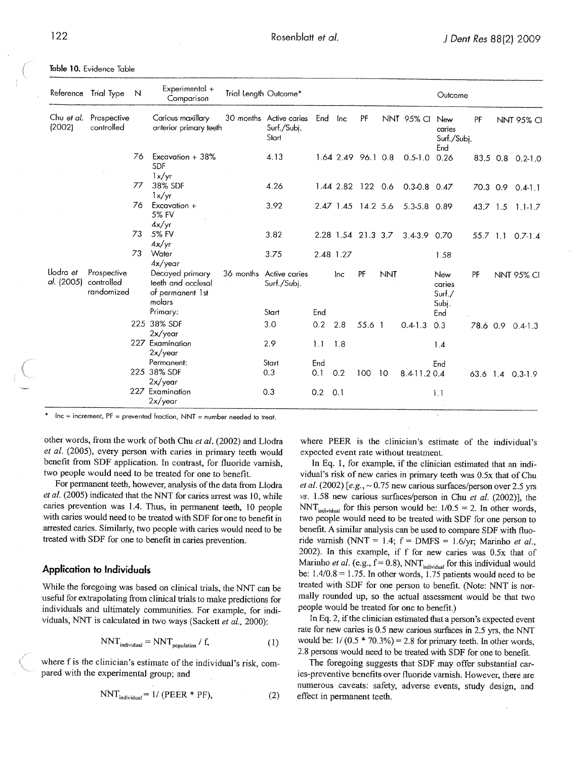|                         | Reference Trial Type                    | N  | Experimental +<br>Comparison                                        | Trial Length Outcome*                           |         |                    |        |            |                   | Outcome                             |    |                   |
|-------------------------|-----------------------------------------|----|---------------------------------------------------------------------|-------------------------------------------------|---------|--------------------|--------|------------|-------------------|-------------------------------------|----|-------------------|
| (2002)                  | Chu et al. Prospective<br>controlled    |    | Carious maxillary<br>anterior primary teeth                         | 30 months Active caries<br>Surf./Subj.<br>Start | End Inc |                    | PF     |            | <b>NNT 95% CI</b> | New<br>caries<br>Surf./Subj.<br>End | PF | <b>NNT 95% CI</b> |
|                         |                                         | 76 | Excavation $+38\%$<br><b>SDF</b><br>1x/yr                           | 4.13                                            |         | 1.64 2.49 96.1 0.8 |        |            | $0.5 - 1.0$       | 0.26                                |    | 83.5 0.8 0.2-1.0  |
|                         |                                         | 77 | 38% SDF<br>1x/yr                                                    | 4.26                                            |         | 1.44 2.82 122 0.6  |        |            | $0.3 - 0.8$ 0.47  |                                     |    | 70.3 0.9 0.4-1.1  |
|                         |                                         | 76 | Excavation +<br>5% FV<br>4x/yr                                      | 3.92                                            |         | 2.47 1.45 14.2 5.6 |        |            | 5.3-5.8 0.89      |                                     |    | 43.7 1.5 1.1-1.7  |
|                         |                                         | 73 | 5% FV<br>4x/yr                                                      | 3.82                                            |         | 2.28 1.54 21.3 3.7 |        |            | $3.4 - 3.9$ 0.70  |                                     |    | 55.7 1.1 0.7-1.4  |
|                         |                                         | 73 | Water<br>4x/year                                                    | 3.75                                            |         | 2.48 1.27          |        |            |                   | 1.58                                |    |                   |
| Llodra et<br>al. (2005) | Prospective<br>controlled<br>randomized |    | Decayed primary<br>teeth and occlusal<br>of permanent 1st<br>molars | 36 months Active caries<br>Surf./Subi.          |         | lnc                | PF     | <b>NNT</b> |                   | New<br>caries<br>Surf./<br>Subj.    | PF | <b>NNT 95% CI</b> |
|                         |                                         |    | Primary:                                                            | Start                                           | End     |                    |        |            |                   | End                                 |    |                   |
|                         |                                         |    | 225 38% SDF<br>2x/year                                              | 3.0                                             | 0.2     | 2.8                | 55.6 1 |            | $0.4 - 1.3$       | 0.3                                 |    | 78.6 0.9 0.4-1.3  |
|                         |                                         |    | 227 Examination<br>2x/year                                          | 2.9                                             | 1.1     | 1.8                |        |            |                   | 1.4                                 |    |                   |
|                         |                                         |    | Permanent:                                                          | Start                                           | End     |                    |        |            |                   | End                                 |    |                   |
|                         |                                         |    | 225 38% SDF<br>2x/year                                              | 0.3                                             | 0.1     | 0.2                | 100    | 10         | 8.4-11.20.4       |                                     |    | 63.6 1.4 0.3-1.9  |
|                         |                                         |    | 227 Examination<br>2x/year                                          | 0.3                                             | 0.2     | 0.1                |        |            |                   | 1.1                                 |    |                   |

Table 10. Evidence Table

 $Inc = increment$ ,  $PF = prevented fraction$ ,  $NNT = number needed$  to treat.

other words, from the work of both Chu et al. (2002) and Llodra et al. (2005), every person with caries in primary teeth would benefit from SDF application. In contrast, for fluoride varnish, two people would need to be treated for one to benefit.

For permanent teeth, however, analysis of the data from Llodra et al. (2005) indicated that the NNT for caries arrest was 10, while caries prevention was 1.4. Thus, in permanent teeth, <sup>10</sup> people with caries would need to be treated with SDF for one to benefit in arrested caries. Similarly, two people with caries would need to be treated with SDF for one to benefit in caries prevention.

### Application to Individuals

While the foregoing was based on clinical trials, the NNT can be useful for extrapolating from clinical trials to make predictions for individuals and ultimately communities. For example, for indi viduals, NNT is calculated in two ways (Sackett et al., 2000):

$$
NNT_{individual} = NNT_{population} / f, \qquad (1)
$$

where f is the clinician's estimate of the individual's risk, com pared with the experimental group: and

$$
NNTindividual = 1/(PEER * PF),
$$
 (2)

where PEER is the clinician's estimate of the individual's expected event rate without treatment.

In Eq. 1, for example, if the clinician estimated that an individual's risk of new caries in primary teeth was 0.5x that of Chu et al. (2002) [e.g.,  $\sim$  0.75 new carious surfaces/person over 2.5 yrs  $vs.$  1.58 new carious surfaces/person in Chu et al. (2002)], the NNT<sub>individual</sub> for this person would be:  $1/0.5 = 2$ . In other words, two people would need to be treated with SDF for one person to benefit. A similar analysis can be used to compare SDF with fluo ride varnish (NNT = 1.4;  $f = DMFS = 1.6/yr$ ; Marinho et al., 2002). In this example, if f for new caries was 0.5x that of Marinho et al. (e.g.,  $f = 0.8$ ), NNT<sub>individual</sub> for this individual would be:  $1.4/0.8 = 1.75$ . In other words, 1.75 patients would need to be treated with SDF for one person to benefit. (Note: NNT is nor mally rounded up, so the actual assessment would be that two people would be treated for one to benefit.)

In Eq. 2, if the clinician estimated that a person's expected event rate for new caries is 0.5 new carious surfaces in 2.5 yrs, the NNT would be:  $1/(0.5 * 70.3\%) = 2.8$  for primary teeth. In other words, 2.8 persons would need to be treated with SDF for one to benefit.

The foregoing suggests that SDF may offer substantial car ies-preventive benefits over fluoride varnish. However, there are numerous caveats: safety, adverse events, study design, and effect in permanent teeth.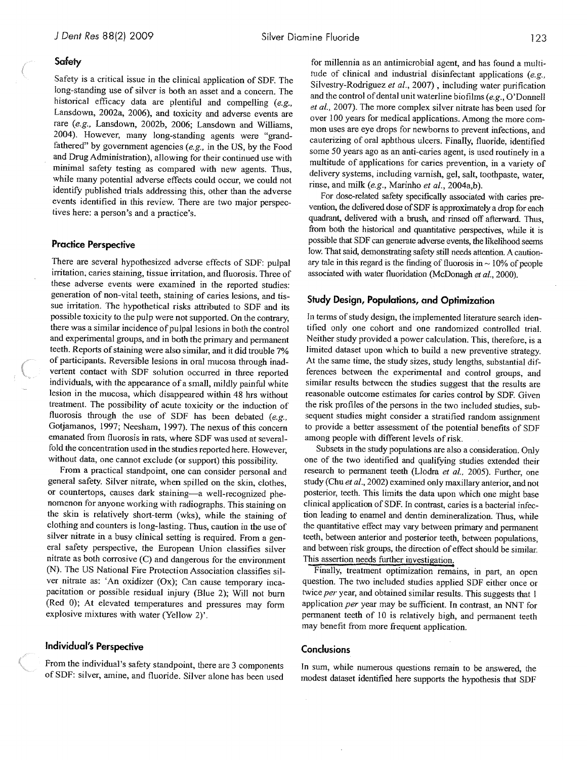#### **Safety**

Safety is a critical issue in the clinical application of SDF. The long-standing use of silver is both an asset and a concern. The historical efficacy data are plentiful and compelling (e.g., Lansdown, 2002a, 2006), and toxicity and adverse events are rare (e.g., Lansdown, 2002b, 2006; Lansdown and Williams, 2004). However, many long-standing agents were "grandfathered" by government agencies (e.g., in the US, by the Food and Drug Administration), allowing for their continued use with minimal safety testing as compared with new agents. Thus, while many potential adverse effects could occur, we could not identify published trials addressing this, other than the adverse events identified in this review. There are two major perspec tives here: a person's and a practice's.

#### Practice Perspective

There are several hypothesized adverse effects of SDF: pulpal irritation, caries staining, tissue irritation, and fluorosis. Three of these adverse events were examined in the reported studies: generation of non-vital teeth, staining of caries lesions, and tis sue irritation. The hypothetical risks attributed to SDF and its possible toxicity to the pulp were not supported. On the contrary, there was a similar incidence of pulpal lesions in both the control and experimental groups, and in both the primary and permanent teeth. Reports of staining were also similar, and it did trouble 7% of participants. Reversible lesions in oral mucosa through inad vertent contact with SDF solution occurred in three reported individuals, with the appearance of a small, mildly painful white lesion in the mucosa, which disappeared within 48 hrs without treatment. The possibility of acute toxicity or the induction of fluorosis through the use of SDF has been debated  $(e.g.,)$ Gotjamanos, 1997; Neesham, 1997). The nexus of this concern emanated from Iluorosis in rats, where SDF was used at severalfold the concentration used in the studies reported here. However, without data, one cannot exclude (or support) this possibility.

From a practical standpoint, one can consider personal and general safety. Silver nitrate, when spilled on the skin, clothes, or countertops, causes dark staining—a well-recognized phe nomenon for anyone working with radiographs. This staining on the skin is relatively short-term (wks), while the staining of clothing and counters is long-lasting. Thus, caution in the use of silver nitrate in a busy clinical setting is required. From <sup>a</sup> gen eral safety perspective, the European Union classifies silver nitrate as both corrosive (C) and dangerous for the environment (N). The US National Fire Protection Association classifies sil ver nitrate as: 'An oxidizer (Ox); Can cause temporary inca pacitation or possible residual injury (Blue 2); Will not bum (Red 0); At elevated temperatures and pressures may form explosive mixtures with water (Yellow 2)'.

#### Individual's Perspective

From the individual's safety standpoint, there are <sup>3</sup> components of SDF: silver, amine, and fluoride. Silver alone has been used

for millennia as an antimicrobial agent, and has found a multi tude of clinical and industrial disinfectant applications (e.g., Silvestry-Rodriguez et al., 2007), including water purification and the control of dental unit waterline bioflims (e.g., O'Donnell et al., 2007). The more complex silver nitrate has been used for over 100 years for medical applications. Among the more com mon uses are eye drops for newborns to prevent infections, and cauterizing of oral aphthous ulcers. Finally, fluoride, identified some 50 years ago as an anti-caries agent, is used routinely in a multitude of applications for caries prevention, in <sup>a</sup> variety of delivery systems, including varnish, gel, salt, toothpaste, water, rinse, and milk (e.g., Marinho et al., 2004a,b).

For dose-related safety specifically associated with caries pre vention, the delivered dose of SDF is approximately a drop for each quadrant, delivered with a brush, and rinsed off afterward. Thus, from both the historical and quantitative perspectives, while it is possible that SDF can generate adverse events, the likelihood seems low. That said, demonstrating safety still needs attention. A caution ary tale in this regard is the finding of fluorosis in  $\sim$  10% of people associated with water fluoridation (McDonagh et al., 2000).

### Study Design, Populations, and Optimization

In terms of study design, the implemented literature search identified only one cohort and one randomized controlled trial. Neither study provided a power calculation. This, therefore, is <sup>a</sup> limited dataset upon which to build a new preventive strategy. At the same time, the study sizes, study lengths, substantial dif ferences between the experimental and control groups, and similar results between the studies suggest that the results are reasonable outcome estimates for caries control by SDF. Given the risk profiles of the persons in the two included studies, sub sequent studies might consider a stratified random assignment to provide a better assessment of the potential benefits of SDF among people with different levels of risk.

Subsets in the study populations are also a consideration. Only one of the two identified and qualifying studies extended their research to permanent teeth (Llodra et al., 2005). Further, one study (Chu et al., 2002) examined only maxillary anterior, and not posterior, teeth. This limits the data upon which one might base clinical application of SDF. In contrast, caries is a bacterial infec tion leading to enamel and dentin demineralization. Thus, while the quantitative effect may vary between primary and permanent teeth, between anterior and posterior teeth, between populations, and between risk groups, the direction of effect should be similar. This assertion needs further investigation.

Finally, treatment optimization remains, in part, an open question. The two included studies applied SDF either once or twice per year, and obtained similar results. This suggests that 1 application per year may be sufficient. In contrast, an NNT for permanent teeth of <sup>10</sup> is relatively high, and permanent teeth may benefit from more frequent application.

#### **Conclusions**

In sum, while numerous questions remain to be answered, the modest dataset identified here supports the hypothesis that SDF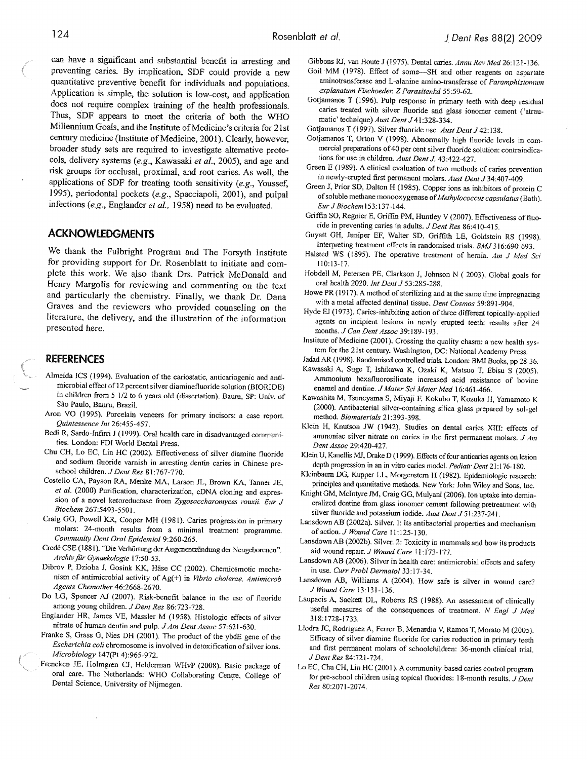can have <sup>a</sup> significant and substantial benefit in arresting and preventing caries. By implication, SDF could provide <sup>a</sup> new quantitative preventive benefit for individuals and populations. Application is simple, the solution is low-cost, and application does not require complex training of the health professionals. Thus, SDF appears to meet the criteria of both the WHO Millennium Goals, and the Institute of Medicine's criteria for 21st centmy medicine (Institute of Medicine, 2001). Clearly, however, broader study sets are required to investigate alternative proto cols, delivery systems (e.g., Kawasaki et al., 2005), and age and risk groups for occlusal, proximal, and root caries. As well, the applications of SDF for treating tooth sensitivity (e.g., Youssef, 1995), periodontal pockets (e.g., Spacciapoli, 2001), and pulpal infections (e.g., Englander et al., 1958) need to be evaluated.

# ACKNOWLEDGMENTS

We thank the Fuibright Program and The Forsyth Institute for providing support for Dr. Rosenblatt to initiate and com plete this work. We also thank Drs. Patrick McDonald and Henry Margolis for reviewing and commenting on the text and particularly the chemistry. Finally, we thank Dr. Dana Graves and the reviewers who provided counseling on the literature, the delivery, and the illustration of the information presented here.

# REFERENCES

- Alineida ICS (1994). Evaluation of the cariostatic, anticariogenic and anti microbial effect of <sup>2</sup> percentsilver diaminefluoride solution (BtORIDE) in children from <sup>5</sup> 1/2 to <sup>6</sup> years old (dissertation). Baum, SP: Univ. of São Paulo, Bauru, Brazil.
- Aron VO (1995). Porcelain veneers for primary incisors: <sup>a</sup> case report. Quintessence Int 26:455-457.
- Bedi R, Sardo-Infirri <sup>J</sup> (1999). Oral health care in disadvantaged communi ties. London: FDI World Dental Press.
- Chu CR, Lo BC, Lin HC (2002). Effectiveness of silver diamine fluoride and sodium fluoride varnish in arresting dentin caries in Chinese pre school children. J Dent Res 81:767-770.
- Costello CA, Payson RA, Menke MA, Larson JL, Brown KA, Tanner JE, et al. (2000) Purification, characterization, cDNA cloning and expression of <sup>a</sup> novel ketoreductase from Zygosaccharomyces rouxii. Eur <sup>J</sup> Biochem 267:5493-5501.
- Craig GG, Powell KR, Cooper MH (1981). Caries progression in primary molars: 24-month results from <sup>a</sup> minimal treatment programme. Community Dent Oral Epidemiol 9:260-265.
- Credé CSE (1881). "Die Verhurtung derAugenentziindung der Neugeborenen". Archiv für Gynaekologie 17:50-53.
- Dibrov P, Dzioba J, Gosink KK, Hase CC (2002). Chemiosmotic mecha nism of antimicrobial activity of  $Ag(+)$  in *Vibrio cholerae. Antimicrob* Agents Chemother 46:2668-2670.
- Do LG, Spencer Al (2007). Risk-benefit balance in the use of fluoride among young children. I Dent Res 86:723-728.
- Englander HR, James VE, Massler <sup>M</sup> (1958). Histologic effects of silver nitrate of human dentin and pulp. J Am Dent Assoc 57:621-630.
- Franice S, Grass G, Nies DR (2001). The product of the ybdE gene of the Escherichia coli chromosome is involved in detoxification of silver ions. Microbiology 147(Pt 4):965-972.
- Frencken JE, Holmgren CJ, Helderman WHvP (2008). Basic package of oral care. The Netherlands: WHO Collaborating Centre. College of Dental Science, University of Nijmegen.

Gibbons RJ, van Houte <sup>J</sup> (1975). Dental caries. Annu Rev Med 26:121-136.

- Goil MM (1978). Effect of some—SH and other reagents on aspartate aminotransferase and L-alanine amino-transferase of Paramphistomum explanatum Fischoeder. Z Parasitenkd 55:59-62.
- Gotjamanos <sup>T</sup> (1996). Pulp response in primary teeth with deep residual caries treated with silver fluoride and glass ionomer cement ('atraumatic' technique) Aust Dent J 41:328-334.
- Gotjamanos T (1997). Silver fluoride use. Aust Dent J 42:138.
- Gotjamanos T, Orton V (1998). Abnormally high fluoride levels in commercial preparations of 40 per cent silver fluoride solution: contraindications for use in children. Aust Dent J. 43:422-427.
- Green <sup>B</sup> (1989). <sup>A</sup> clinical evaluation of two methods of caries prevention in newly-erupted first permanent molars. Aust Dent J 34:407-409.
- Green J, Prior SD, Dalton <sup>H</sup> (1985). Copper ions as inhibitors of protein <sup>C</sup> of soluble methane monooxygenase of Methylococcus capsulatus (Bath). Eur J Biochem 153:137-144.
- Griffin SO, Regnier E, Griffin PM, Huntley V (2007). Effectiveness of fluoride in preventing caries in adults. J Dent Res 86:410-415.
- Guyatt GH, Juniper EF, Walter SD, Griffith LE, Goldstein RS (1998). Interpreting treatment effects in randomised trials. BMJ 316:690-693.
- Halsted WS (1895). The operative treatment of hernia. Am J Med Sci 110: 13-17.
- Hobdell M, Petersen PE, Clarkson J, Johnson N (2003). Global goals for oral health 2020. Int Dent J 53:285-288.
- Howe PR (1917). A method of sterilizing and at the same time impregnating with <sup>a</sup> metal affected dentinal tissue. Dent Cosmos 59:891-904.
- Hyde EJ (1973). Caries-inhibiting action of three different topically-applied agents on incipient lesions in newly erupted teeth: results after <sup>24</sup> months. J Can Dent Assoc 39:189-193.
- Institute of Medicine (2001). Crossing the quality chasm: <sup>a</sup> new health sys tem for the 21st century. Washington, DC: National Academy Press.
- Jadad AR (1998). Randomised controlled triala London: BMJ Books. pp 28-36. Kawasaki A, Suge T, Ishikawa K, Ozaki K, Matsuo T, Ebisu S (2005). Ammonium hexafluorosilicate increased acid resistance of bovine enamel and dentine. J Mater Sci Mater Med 16:461-466.
- Kawashita M, Tsuneyama S, Miyaji F. Kokubo T, Kozuka H, Yamamoto <sup>K</sup> (2000). Antibacterial silver-containing silica <sup>g</sup>lass prepared by sal-gel method. Biomaterials 21:393-398.
- Klein H, Knutson JW (1942). Studies on dental caries XIII: effects of ammoniac silver nitrate on caries in the first permanent molars.  $JAm$ Dent Assoc 29:420-427.
- Klein U, Kanellis MJ, Drake <sup>D</sup> (1999). Effects of four anticaries agents on lesion depth progression in an in vitro caries model. Pediatr Dent 21:176-180.
- Kleinbaum DG, Kupper LL, Morgenstem <sup>H</sup> (1982). Epidemiologic research: principles and quantitative methods. New York: John Wiley and Sons, Inc.
- Knight GM, Mcintyre IM, Craig GG, Mulyani (2006), Ion uptake into demin eralized dentine from glass ionomer cement following pretreatment with silver fluoride and potassium iodide. Aust Dent J 51:237-241.
- Lansdown AB (2002a). Silver. I: Its antibacterial properties and mechanism of action. J Wound Care 11:125-130.
- Lansdown AB (2002b). Silver. 2: Toxicity in mammals and how its products aid wound repair. <sup>J</sup> Wound Care 11:173-177.
- Lansdown AB (2006). Silver in health care: antimicrobial effects and safety in use. Curr Probi Dermatol 33:17-34.
- Lansdown AB, Williams A (2004). How safe is silver in wound care? J Wound Care 13:131-136.
- Laupacis A, Sackett DL, Roberts RS (1988). An assessment of clinically useful measures of the consequences of treatment. N Engl J Med 3 18:1728-1733.
- Llodra JC, Rodriguez A, Ferrer B, Menardia V. Ramos T, Morato <sup>M</sup> (2005). Efficacy of silver diamine fluoride for caries reduction in primary teeth and first permanent molars of schoolchildren: 36-month clinical trial. J Dent Res 84:721-724.
- La BC, Chu CR, Lin HC (2001). <sup>A</sup> community-based caries control program for pre-school children using topical fluorides: 18-month results. J Dent Res 80:2071-2074.